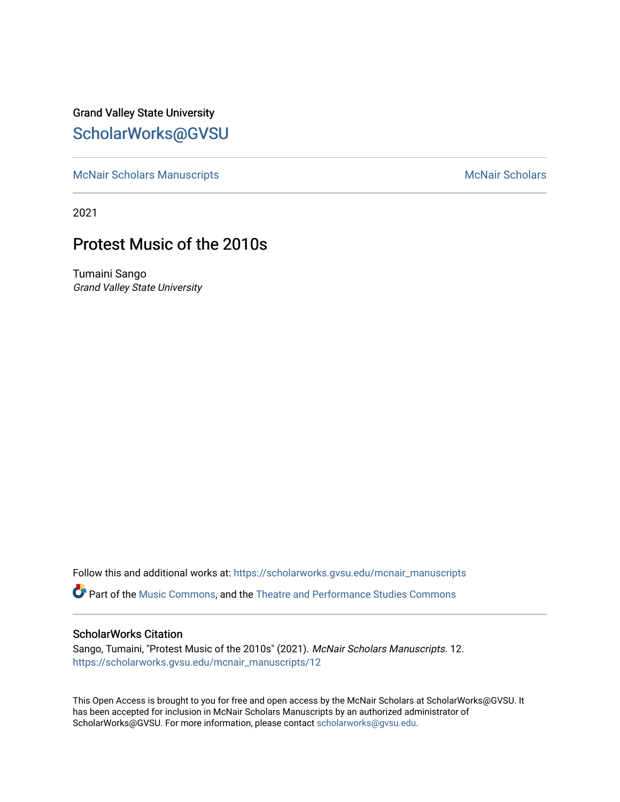Grand Valley State University [ScholarWorks@GVSU](https://scholarworks.gvsu.edu/) 

[McNair Scholars Manuscripts](https://scholarworks.gvsu.edu/mcnair_manuscripts) **McNair Scholars** McNair Scholars

2021

## Protest Music of the 2010s

Tumaini Sango Grand Valley State University

Follow this and additional works at: [https://scholarworks.gvsu.edu/mcnair\\_manuscripts](https://scholarworks.gvsu.edu/mcnair_manuscripts?utm_source=scholarworks.gvsu.edu%2Fmcnair_manuscripts%2F12&utm_medium=PDF&utm_campaign=PDFCoverPages) 

Part of the [Music Commons,](http://network.bepress.com/hgg/discipline/518?utm_source=scholarworks.gvsu.edu%2Fmcnair_manuscripts%2F12&utm_medium=PDF&utm_campaign=PDFCoverPages) and the [Theatre and Performance Studies Commons](http://network.bepress.com/hgg/discipline/552?utm_source=scholarworks.gvsu.edu%2Fmcnair_manuscripts%2F12&utm_medium=PDF&utm_campaign=PDFCoverPages) 

#### ScholarWorks Citation

Sango, Tumaini, "Protest Music of the 2010s" (2021). McNair Scholars Manuscripts. 12. [https://scholarworks.gvsu.edu/mcnair\\_manuscripts/12](https://scholarworks.gvsu.edu/mcnair_manuscripts/12?utm_source=scholarworks.gvsu.edu%2Fmcnair_manuscripts%2F12&utm_medium=PDF&utm_campaign=PDFCoverPages)

This Open Access is brought to you for free and open access by the McNair Scholars at ScholarWorks@GVSU. It has been accepted for inclusion in McNair Scholars Manuscripts by an authorized administrator of ScholarWorks@GVSU. For more information, please contact [scholarworks@gvsu.edu](mailto:scholarworks@gvsu.edu).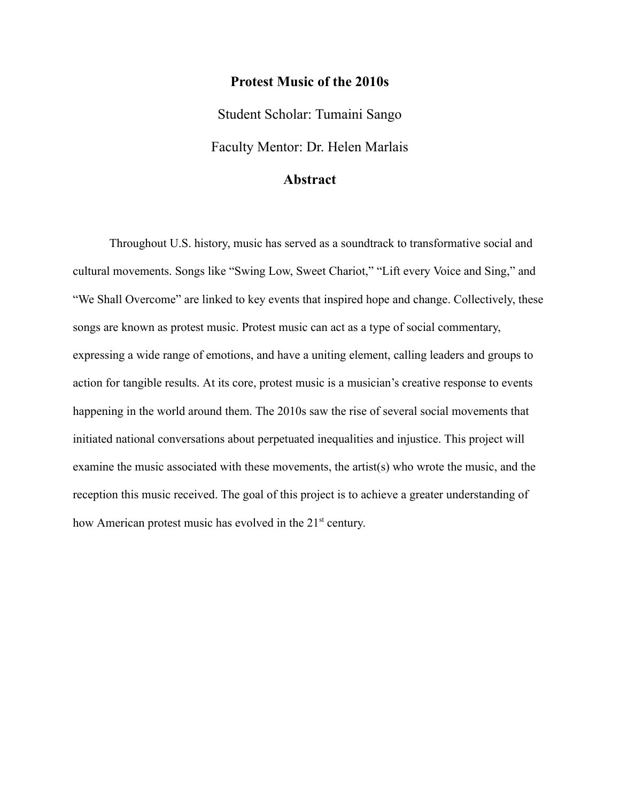### **Protest Music of the 2010s**

Student Scholar: Tumaini Sango Faculty Mentor: Dr. Helen Marlais

### **Abstract**

Throughout U.S. history, music has served as a soundtrack to transformative social and cultural movements. Songs like "Swing Low, Sweet Chariot," "Lift every Voice and Sing," and "We Shall Overcome" are linked to key events that inspired hope and change. Collectively, these songs are known as protest music. Protest music can act as a type of social commentary, expressing a wide range of emotions, and have a uniting element, calling leaders and groups to action for tangible results. At its core, protest music is a musician's creative response to events happening in the world around them. The 2010s saw the rise of several social movements that initiated national conversations about perpetuated inequalities and injustice. This project will examine the music associated with these movements, the artist(s) who wrote the music, and the reception this music received. The goal of this project is to achieve a greater understanding of how American protest music has evolved in the 21<sup>st</sup> century.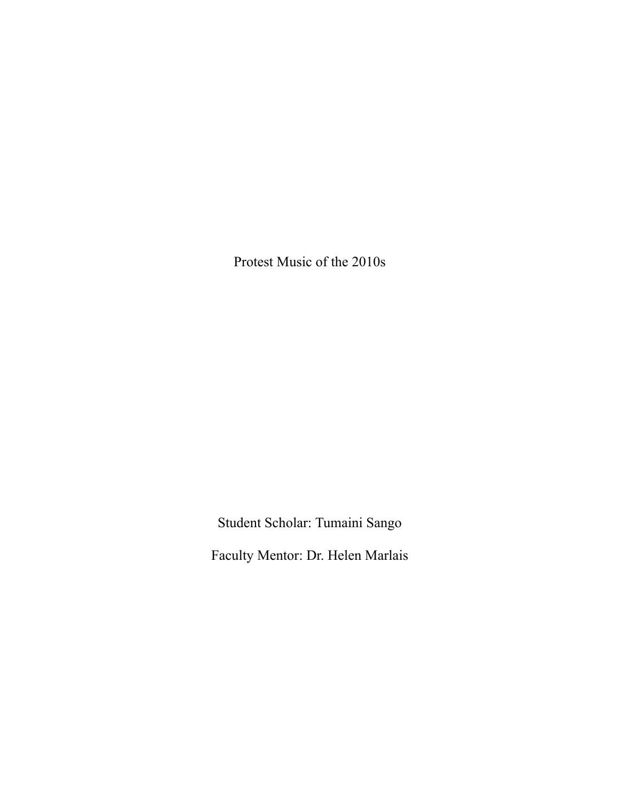Protest Music of the 2010s

Student Scholar: Tumaini Sango

Faculty Mentor: Dr. Helen Marlais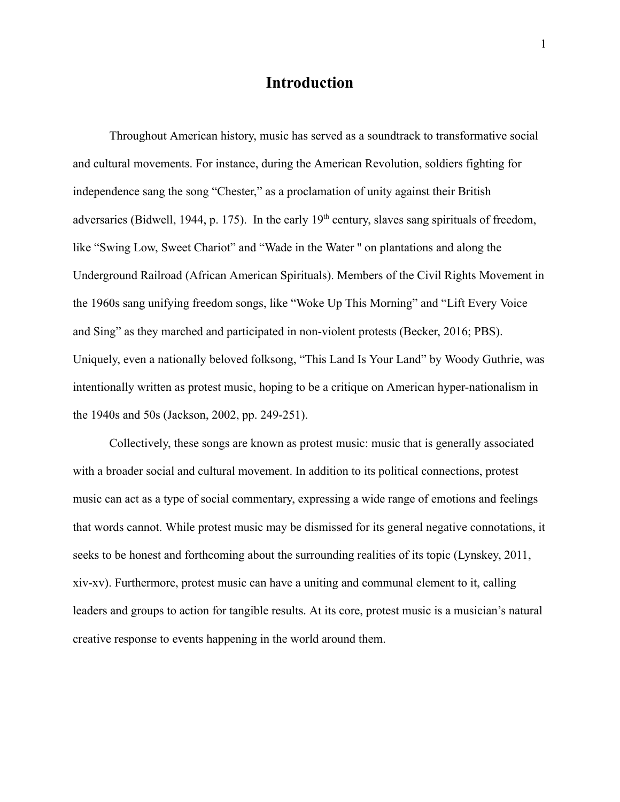### **Introduction**

Throughout American history, music has served as a soundtrack to transformative social and cultural movements. For instance, during the American Revolution, soldiers fighting for independence sang the song "Chester," as a proclamation of unity against their British adversaries (Bidwell, 1944, p. 175). In the early  $19<sup>th</sup>$  century, slaves sang spirituals of freedom, like "Swing Low, Sweet Chariot" and "Wade in the Water '' on plantations and along the Underground Railroad (African American Spirituals). Members of the Civil Rights Movement in the 1960s sang unifying freedom songs, like "Woke Up This Morning" and "Lift Every Voice and Sing" as they marched and participated in non-violent protests (Becker, 2016; PBS). Uniquely, even a nationally beloved folksong, "This Land Is Your Land" by Woody Guthrie, was intentionally written as protest music, hoping to be a critique on American hyper-nationalism in the 1940s and 50s (Jackson, 2002, pp. 249-251).

Collectively, these songs are known as protest music: music that is generally associated with a broader social and cultural movement. In addition to its political connections, protest music can act as a type of social commentary, expressing a wide range of emotions and feelings that words cannot. While protest music may be dismissed for its general negative connotations, it seeks to be honest and forthcoming about the surrounding realities of its topic (Lynskey, 2011, xiv-xv). Furthermore, protest music can have a uniting and communal element to it, calling leaders and groups to action for tangible results. At its core, protest music is a musician's natural creative response to events happening in the world around them.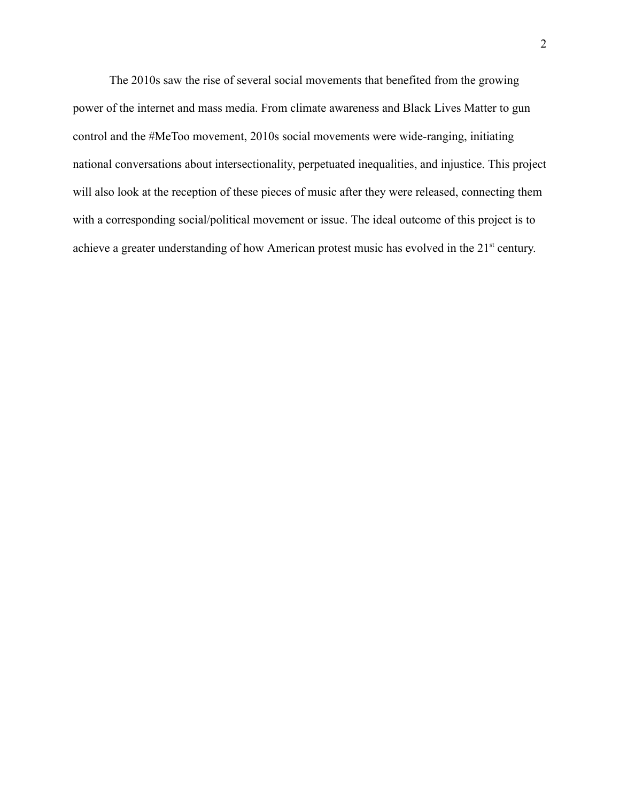The 2010s saw the rise of several social movements that benefited from the growing power of the internet and mass media. From climate awareness and Black Lives Matter to gun control and the #MeToo movement, 2010s social movements were wide-ranging, initiating national conversations about intersectionality, perpetuated inequalities, and injustice. This project will also look at the reception of these pieces of music after they were released, connecting them with a corresponding social/political movement or issue. The ideal outcome of this project is to achieve a greater understanding of how American protest music has evolved in the 21<sup>st</sup> century.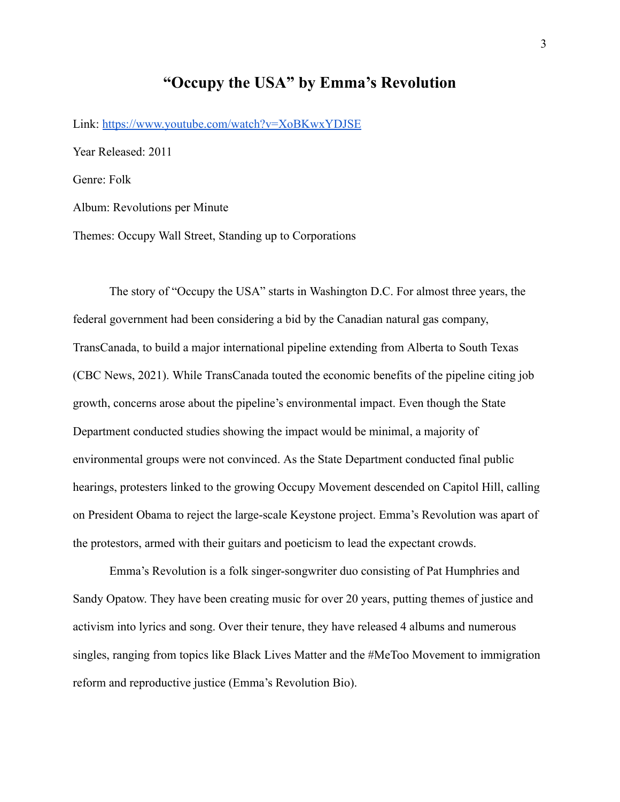### **"Occupy the USA" by Emma's Revolution**

Link: <https://www.youtube.com/watch?v=XoBKwxYDJSE> Year Released: 2011 Genre: Folk Album: Revolutions per Minute Themes: Occupy Wall Street, Standing up to Corporations

The story of "Occupy the USA" starts in Washington D.C. For almost three years, the federal government had been considering a bid by the Canadian natural gas company, TransCanada, to build a major international pipeline extending from Alberta to South Texas (CBC News, 2021). While TransCanada touted the economic benefits of the pipeline citing job growth, concerns arose about the pipeline's environmental impact. Even though the State Department conducted studies showing the impact would be minimal, a majority of environmental groups were not convinced. As the State Department conducted final public hearings, protesters linked to the growing Occupy Movement descended on Capitol Hill, calling on President Obama to reject the large-scale Keystone project. Emma's Revolution was apart of the protestors, armed with their guitars and poeticism to lead the expectant crowds.

Emma's Revolution is a folk singer-songwriter duo consisting of Pat Humphries and Sandy Opatow. They have been creating music for over 20 years, putting themes of justice and activism into lyrics and song. Over their tenure, they have released 4 albums and numerous singles, ranging from topics like Black Lives Matter and the #MeToo Movement to immigration reform and reproductive justice (Emma's Revolution Bio).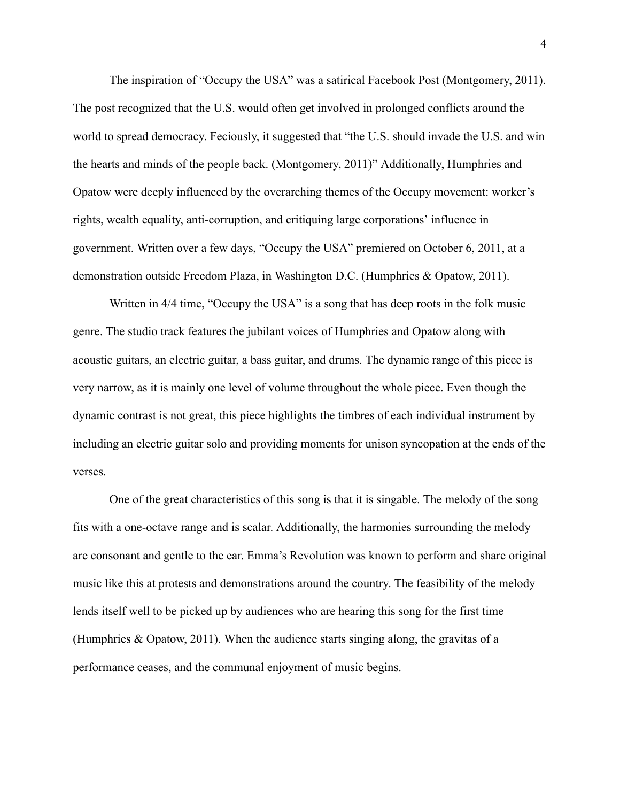The inspiration of "Occupy the USA" was a satirical Facebook Post (Montgomery, 2011). The post recognized that the U.S. would often get involved in prolonged conflicts around the world to spread democracy. Feciously, it suggested that "the U.S. should invade the U.S. and win the hearts and minds of the people back. (Montgomery, 2011)" Additionally, Humphries and Opatow were deeply influenced by the overarching themes of the Occupy movement: worker's rights, wealth equality, anti-corruption, and critiquing large corporations' influence in government. Written over a few days, "Occupy the USA" premiered on October 6, 2011, at a demonstration outside Freedom Plaza, in Washington D.C. (Humphries & Opatow, 2011).

Written in  $4/4$  time, "Occupy the USA" is a song that has deep roots in the folk music genre. The studio track features the jubilant voices of Humphries and Opatow along with acoustic guitars, an electric guitar, a bass guitar, and drums. The dynamic range of this piece is very narrow, as it is mainly one level of volume throughout the whole piece. Even though the dynamic contrast is not great, this piece highlights the timbres of each individual instrument by including an electric guitar solo and providing moments for unison syncopation at the ends of the verses.

One of the great characteristics of this song is that it is singable. The melody of the song fits with a one-octave range and is scalar. Additionally, the harmonies surrounding the melody are consonant and gentle to the ear. Emma's Revolution was known to perform and share original music like this at protests and demonstrations around the country. The feasibility of the melody lends itself well to be picked up by audiences who are hearing this song for the first time (Humphries & Opatow, 2011). When the audience starts singing along, the gravitas of a performance ceases, and the communal enjoyment of music begins.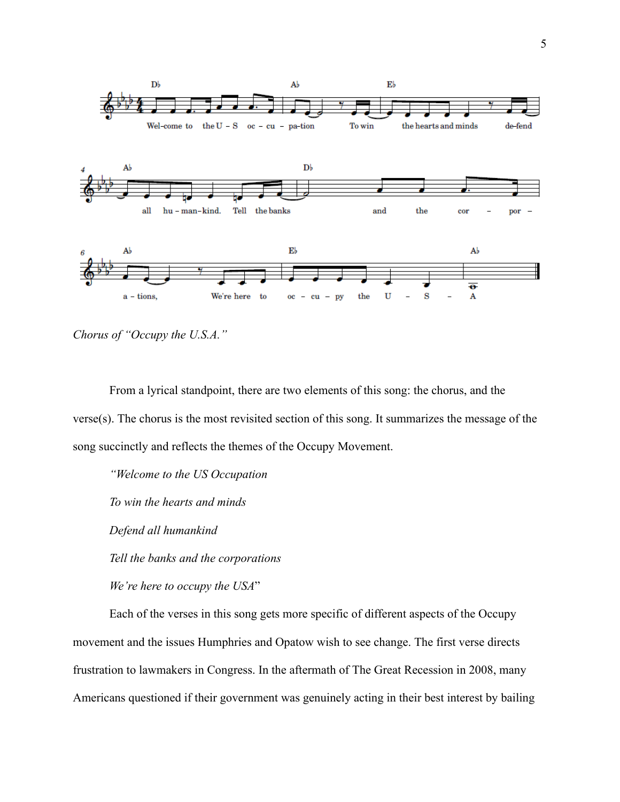

*Chorus of "Occupy the U.S.A."*

From a lyrical standpoint, there are two elements of this song: the chorus, and the verse(s). The chorus is the most revisited section of this song. It summarizes the message of the song succinctly and reflects the themes of the Occupy Movement.

*"Welcome to the US Occupation To win the hearts and minds Defend all humankind Tell the banks and the corporations We're here to occupy the USA*"

Each of the verses in this song gets more specific of different aspects of the Occupy movement and the issues Humphries and Opatow wish to see change. The first verse directs frustration to lawmakers in Congress. In the aftermath of The Great Recession in 2008, many Americans questioned if their government was genuinely acting in their best interest by bailing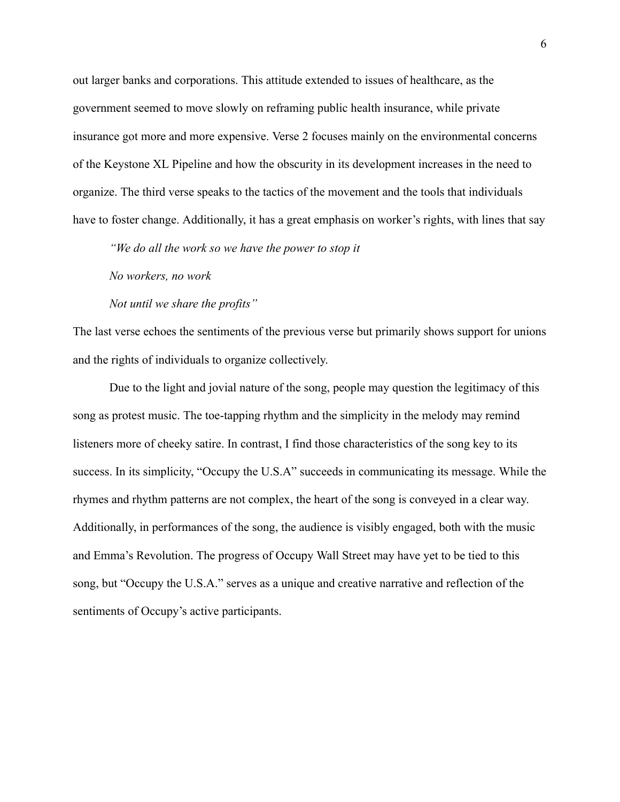out larger banks and corporations. This attitude extended to issues of healthcare, as the government seemed to move slowly on reframing public health insurance, while private insurance got more and more expensive. Verse 2 focuses mainly on the environmental concerns of the Keystone XL Pipeline and how the obscurity in its development increases in the need to organize. The third verse speaks to the tactics of the movement and the tools that individuals have to foster change. Additionally, it has a great emphasis on worker's rights, with lines that say

*"We do all the work so we have the power to stop it*

*No workers, no work*

*Not until we share the profits"*

The last verse echoes the sentiments of the previous verse but primarily shows support for unions and the rights of individuals to organize collectively.

Due to the light and jovial nature of the song, people may question the legitimacy of this song as protest music. The toe-tapping rhythm and the simplicity in the melody may remind listeners more of cheeky satire. In contrast, I find those characteristics of the song key to its success. In its simplicity, "Occupy the U.S.A" succeeds in communicating its message. While the rhymes and rhythm patterns are not complex, the heart of the song is conveyed in a clear way. Additionally, in performances of the song, the audience is visibly engaged, both with the music and Emma's Revolution. The progress of Occupy Wall Street may have yet to be tied to this song, but "Occupy the U.S.A." serves as a unique and creative narrative and reflection of the sentiments of Occupy's active participants.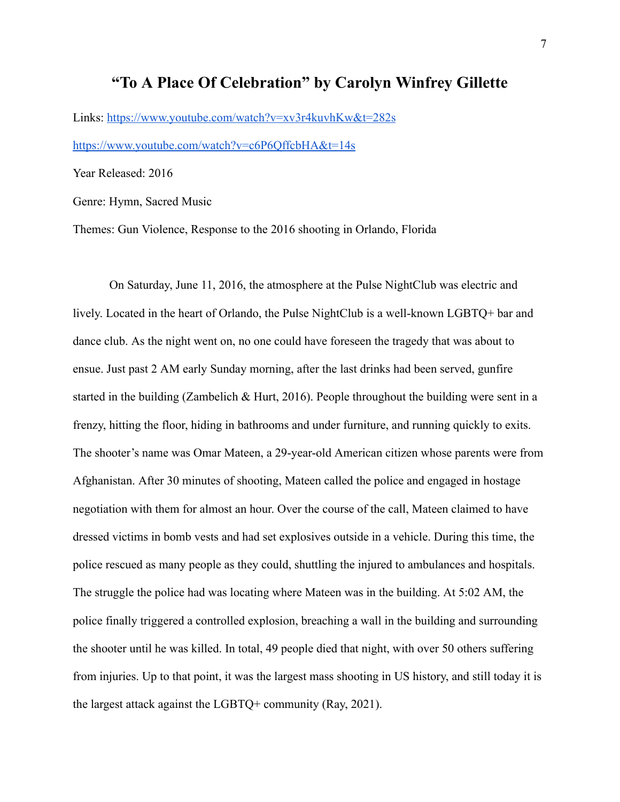### **"To A Place Of Celebration" by Carolyn Winfrey Gillette**

Links: <https://www.youtube.com/watch?v=xv3r4kuvhKw&t=282s> <https://www.youtube.com/watch?v=c6P6QffcbHA&t=14s>

Year Released: 2016

Genre: Hymn, Sacred Music

Themes: Gun Violence, Response to the 2016 shooting in Orlando, Florida

On Saturday, June 11, 2016, the atmosphere at the Pulse NightClub was electric and lively. Located in the heart of Orlando, the Pulse NightClub is a well-known LGBTQ+ bar and dance club. As the night went on, no one could have foreseen the tragedy that was about to ensue. Just past 2 AM early Sunday morning, after the last drinks had been served, gunfire started in the building (Zambelich & Hurt, 2016). People throughout the building were sent in a frenzy, hitting the floor, hiding in bathrooms and under furniture, and running quickly to exits. The shooter's name was Omar Mateen, a 29-year-old American citizen whose parents were from Afghanistan. After 30 minutes of shooting, Mateen called the police and engaged in hostage negotiation with them for almost an hour. Over the course of the call, Mateen claimed to have dressed victims in bomb vests and had set explosives outside in a vehicle. During this time, the police rescued as many people as they could, shuttling the injured to ambulances and hospitals. The struggle the police had was locating where Mateen was in the building. At 5:02 AM, the police finally triggered a controlled explosion, breaching a wall in the building and surrounding the shooter until he was killed. In total, 49 people died that night, with over 50 others suffering from injuries. Up to that point, it was the largest mass shooting in US history, and still today it is the largest attack against the LGBTQ+ community (Ray, 2021).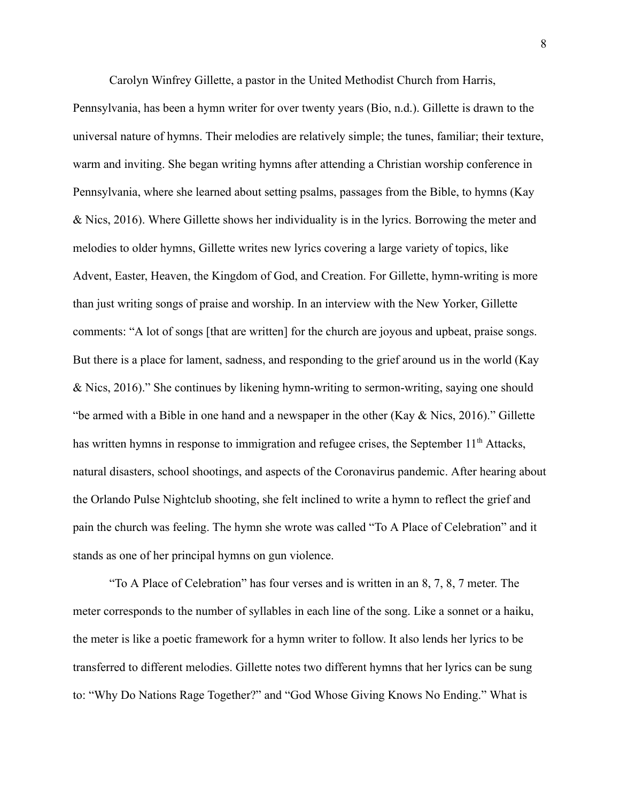Carolyn Winfrey Gillette, a pastor in the United Methodist Church from Harris,

Pennsylvania, has been a hymn writer for over twenty years (Bio, n.d.). Gillette is drawn to the universal nature of hymns. Their melodies are relatively simple; the tunes, familiar; their texture, warm and inviting. She began writing hymns after attending a Christian worship conference in Pennsylvania, where she learned about setting psalms, passages from the Bible, to hymns (Kay & Nics, 2016). Where Gillette shows her individuality is in the lyrics. Borrowing the meter and melodies to older hymns, Gillette writes new lyrics covering a large variety of topics, like Advent, Easter, Heaven, the Kingdom of God, and Creation. For Gillette, hymn-writing is more than just writing songs of praise and worship. In an interview with the New Yorker, Gillette comments: "A lot of songs [that are written] for the church are joyous and upbeat, praise songs. But there is a place for lament, sadness, and responding to the grief around us in the world (Kay & Nics, 2016)." She continues by likening hymn-writing to sermon-writing, saying one should "be armed with a Bible in one hand and a newspaper in the other (Kay  $\&$  Nics, 2016)." Gillette has written hymns in response to immigration and refugee crises, the September  $11<sup>th</sup>$  Attacks, natural disasters, school shootings, and aspects of the Coronavirus pandemic. After hearing about the Orlando Pulse Nightclub shooting, she felt inclined to write a hymn to reflect the grief and pain the church was feeling. The hymn she wrote was called "To A Place of Celebration" and it stands as one of her principal hymns on gun violence.

"To A Place of Celebration" has four verses and is written in an 8, 7, 8, 7 meter. The meter corresponds to the number of syllables in each line of the song. Like a sonnet or a haiku, the meter is like a poetic framework for a hymn writer to follow. It also lends her lyrics to be transferred to different melodies. Gillette notes two different hymns that her lyrics can be sung to: "Why Do Nations Rage Together?" and "God Whose Giving Knows No Ending." What is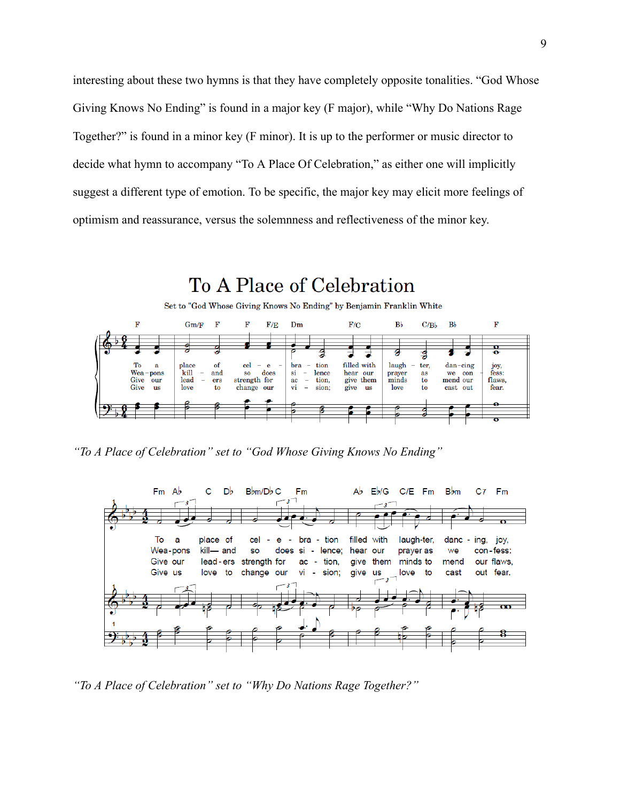interesting about these two hymns is that they have completely opposite tonalities. "God Whose Giving Knows No Ending" is found in a major key (F major), while "Why Do Nations Rage Together?" is found in a minor key (F minor). It is up to the performer or music director to decide what hymn to accompany "To A Place Of Celebration," as either one will implicitly suggest a different type of emotion. To be specific, the major key may elicit more feelings of optimism and reassurance, versus the solemnness and reflectiveness of the minor key.



*"To A Place of Celebration" set to "God Whose Giving Knows No Ending"*



*"To A Place of Celebration" set to "Why Do Nations Rage Together?"*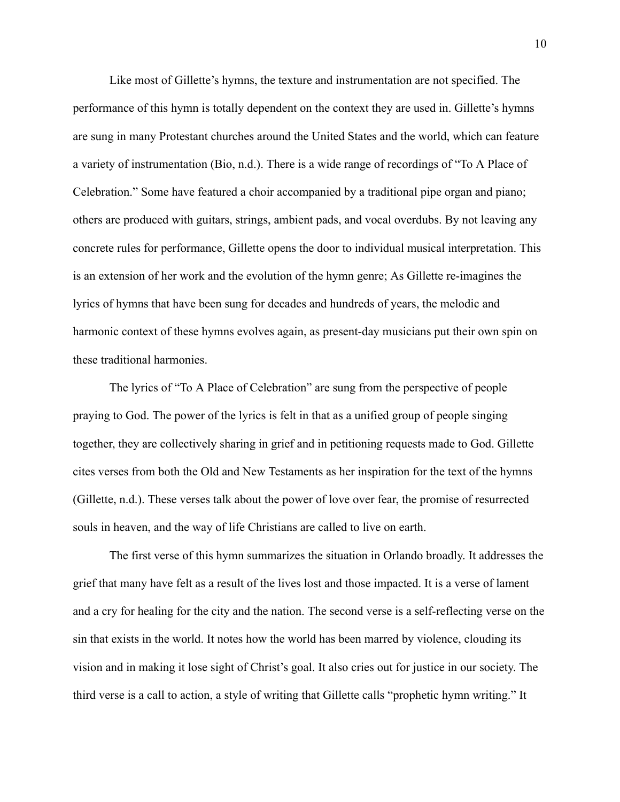Like most of Gillette's hymns, the texture and instrumentation are not specified. The performance of this hymn is totally dependent on the context they are used in. Gillette's hymns are sung in many Protestant churches around the United States and the world, which can feature a variety of instrumentation (Bio, n.d.). There is a wide range of recordings of "To A Place of Celebration." Some have featured a choir accompanied by a traditional pipe organ and piano; others are produced with guitars, strings, ambient pads, and vocal overdubs. By not leaving any concrete rules for performance, Gillette opens the door to individual musical interpretation. This is an extension of her work and the evolution of the hymn genre; As Gillette re-imagines the lyrics of hymns that have been sung for decades and hundreds of years, the melodic and harmonic context of these hymns evolves again, as present-day musicians put their own spin on these traditional harmonies.

The lyrics of "To A Place of Celebration" are sung from the perspective of people praying to God. The power of the lyrics is felt in that as a unified group of people singing together, they are collectively sharing in grief and in petitioning requests made to God. Gillette cites verses from both the Old and New Testaments as her inspiration for the text of the hymns (Gillette, n.d.). These verses talk about the power of love over fear, the promise of resurrected souls in heaven, and the way of life Christians are called to live on earth.

The first verse of this hymn summarizes the situation in Orlando broadly. It addresses the grief that many have felt as a result of the lives lost and those impacted. It is a verse of lament and a cry for healing for the city and the nation. The second verse is a self-reflecting verse on the sin that exists in the world. It notes how the world has been marred by violence, clouding its vision and in making it lose sight of Christ's goal. It also cries out for justice in our society. The third verse is a call to action, a style of writing that Gillette calls "prophetic hymn writing." It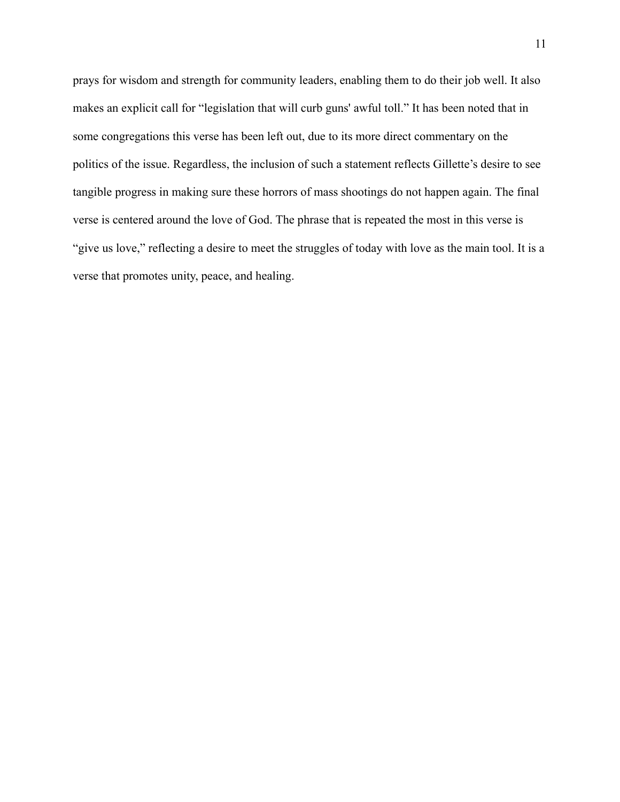prays for wisdom and strength for community leaders, enabling them to do their job well. It also makes an explicit call for "legislation that will curb guns' awful toll." It has been noted that in some congregations this verse has been left out, due to its more direct commentary on the politics of the issue. Regardless, the inclusion of such a statement reflects Gillette's desire to see tangible progress in making sure these horrors of mass shootings do not happen again. The final verse is centered around the love of God. The phrase that is repeated the most in this verse is "give us love," reflecting a desire to meet the struggles of today with love as the main tool. It is a verse that promotes unity, peace, and healing.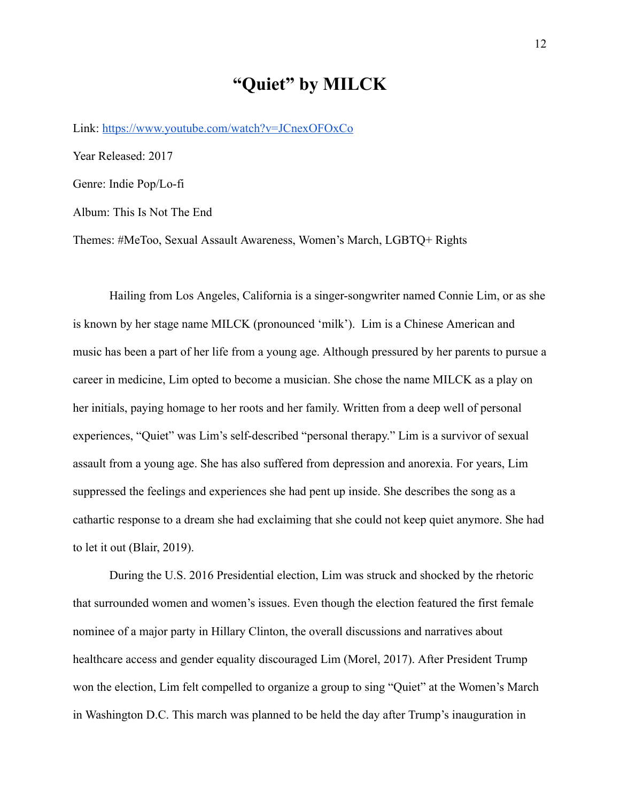## **"Quiet" by MILCK**

Link: <https://www.youtube.com/watch?v=JCnexOFOxCo>

Year Released: 2017

Genre: Indie Pop/Lo-fi

Album: This Is Not The End

Themes: #MeToo, Sexual Assault Awareness, Women's March, LGBTQ+ Rights

Hailing from Los Angeles, California is a singer-songwriter named Connie Lim, or as she is known by her stage name MILCK (pronounced 'milk'). Lim is a Chinese American and music has been a part of her life from a young age. Although pressured by her parents to pursue a career in medicine, Lim opted to become a musician. She chose the name MILCK as a play on her initials, paying homage to her roots and her family. Written from a deep well of personal experiences, "Quiet" was Lim's self-described "personal therapy." Lim is a survivor of sexual assault from a young age. She has also suffered from depression and anorexia. For years, Lim suppressed the feelings and experiences she had pent up inside. She describes the song as a cathartic response to a dream she had exclaiming that she could not keep quiet anymore. She had to let it out (Blair, 2019).

During the U.S. 2016 Presidential election, Lim was struck and shocked by the rhetoric that surrounded women and women's issues. Even though the election featured the first female nominee of a major party in Hillary Clinton, the overall discussions and narratives about healthcare access and gender equality discouraged Lim (Morel, 2017). After President Trump won the election, Lim felt compelled to organize a group to sing "Quiet" at the Women's March in Washington D.C. This march was planned to be held the day after Trump's inauguration in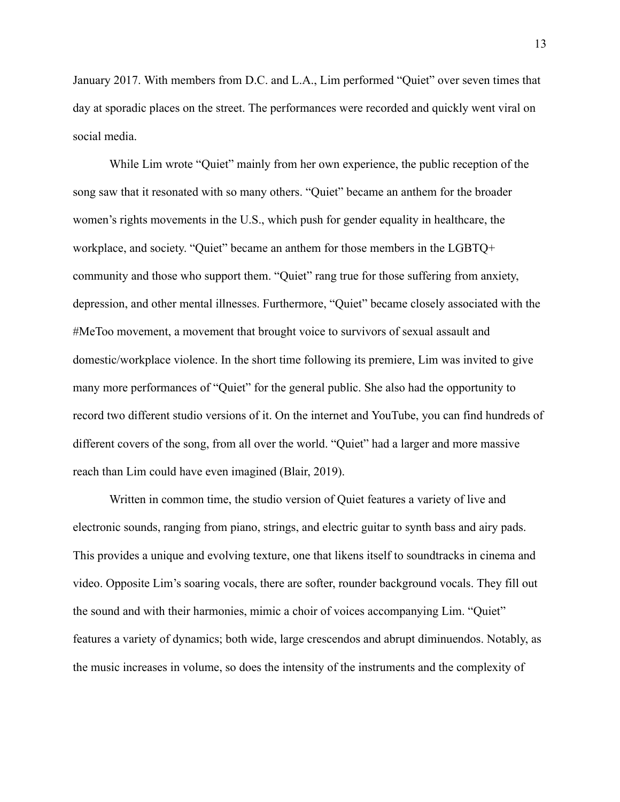January 2017. With members from D.C. and L.A., Lim performed "Quiet" over seven times that day at sporadic places on the street. The performances were recorded and quickly went viral on social media.

While Lim wrote "Quiet" mainly from her own experience, the public reception of the song saw that it resonated with so many others. "Quiet" became an anthem for the broader women's rights movements in the U.S., which push for gender equality in healthcare, the workplace, and society. "Quiet" became an anthem for those members in the LGBTQ+ community and those who support them. "Quiet" rang true for those suffering from anxiety, depression, and other mental illnesses. Furthermore, "Quiet" became closely associated with the #MeToo movement, a movement that brought voice to survivors of sexual assault and domestic/workplace violence. In the short time following its premiere, Lim was invited to give many more performances of "Quiet" for the general public. She also had the opportunity to record two different studio versions of it. On the internet and YouTube, you can find hundreds of different covers of the song, from all over the world. "Quiet" had a larger and more massive reach than Lim could have even imagined (Blair, 2019).

Written in common time, the studio version of Quiet features a variety of live and electronic sounds, ranging from piano, strings, and electric guitar to synth bass and airy pads. This provides a unique and evolving texture, one that likens itself to soundtracks in cinema and video. Opposite Lim's soaring vocals, there are softer, rounder background vocals. They fill out the sound and with their harmonies, mimic a choir of voices accompanying Lim. "Quiet" features a variety of dynamics; both wide, large crescendos and abrupt diminuendos. Notably, as the music increases in volume, so does the intensity of the instruments and the complexity of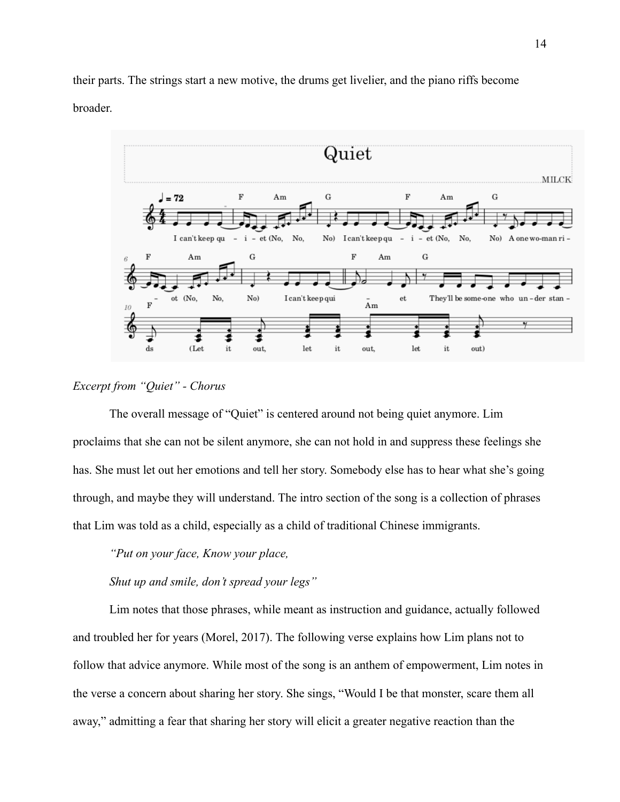their parts. The strings start a new motive, the drums get livelier, and the piano riffs become broader.



### *Excerpt from "Quiet" - Chorus*

The overall message of "Quiet" is centered around not being quiet anymore. Lim proclaims that she can not be silent anymore, she can not hold in and suppress these feelings she has. She must let out her emotions and tell her story. Somebody else has to hear what she's going through, and maybe they will understand. The intro section of the song is a collection of phrases that Lim was told as a child, especially as a child of traditional Chinese immigrants.

*"Put on your face, Know your place,*

*Shut up and smile, don't spread your legs"*

Lim notes that those phrases, while meant as instruction and guidance, actually followed and troubled her for years (Morel, 2017). The following verse explains how Lim plans not to follow that advice anymore. While most of the song is an anthem of empowerment, Lim notes in the verse a concern about sharing her story. She sings, "Would I be that monster, scare them all away," admitting a fear that sharing her story will elicit a greater negative reaction than the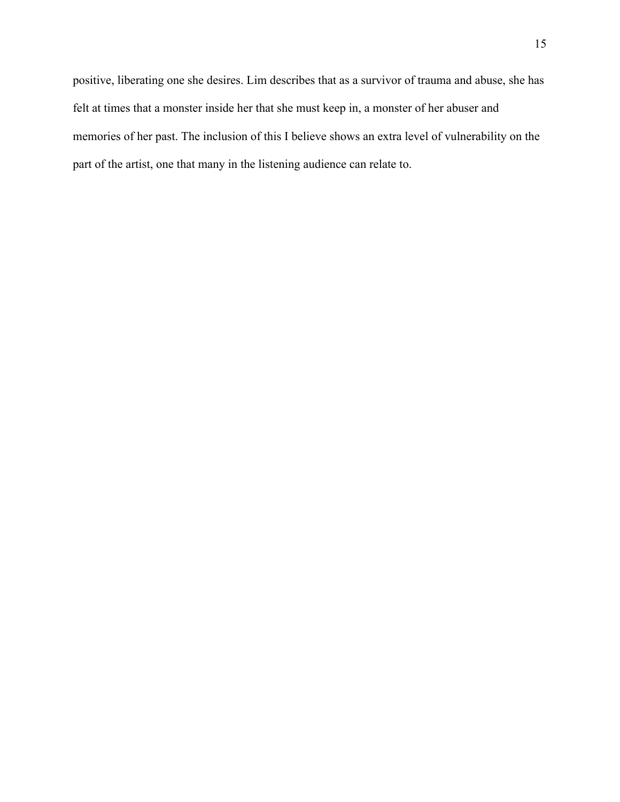positive, liberating one she desires. Lim describes that as a survivor of trauma and abuse, she has felt at times that a monster inside her that she must keep in, a monster of her abuser and memories of her past. The inclusion of this I believe shows an extra level of vulnerability on the part of the artist, one that many in the listening audience can relate to.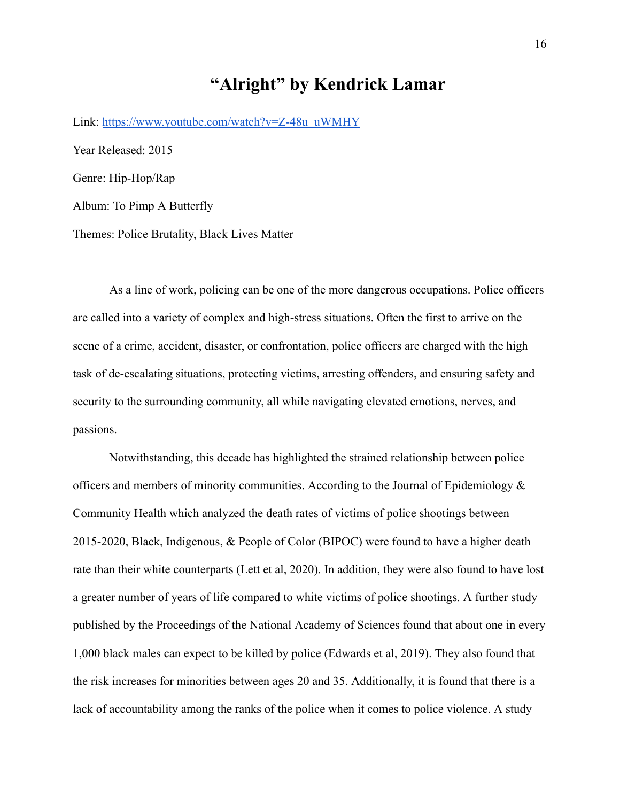## **"Alright" by Kendrick Lamar**

Link: [https://www.youtube.com/watch?v=Z-48u\\_uWMHY](https://www.youtube.com/watch?v=Z-48u_uWMHY) Year Released: 2015 Genre: Hip-Hop/Rap Album: To Pimp A Butterfly Themes: Police Brutality, Black Lives Matter

As a line of work, policing can be one of the more dangerous occupations. Police officers are called into a variety of complex and high-stress situations. Often the first to arrive on the scene of a crime, accident, disaster, or confrontation, police officers are charged with the high task of de-escalating situations, protecting victims, arresting offenders, and ensuring safety and security to the surrounding community, all while navigating elevated emotions, nerves, and passions.

Notwithstanding, this decade has highlighted the strained relationship between police officers and members of minority communities. According to the Journal of Epidemiology & Community Health which analyzed the death rates of victims of police shootings between 2015-2020, Black, Indigenous, & People of Color (BIPOC) were found to have a higher death rate than their white counterparts (Lett et al, 2020). In addition, they were also found to have lost a greater number of years of life compared to white victims of police shootings. A further study published by the Proceedings of the National Academy of Sciences found that about one in every 1,000 black males can expect to be killed by police (Edwards et al, 2019). They also found that the risk increases for minorities between ages 20 and 35. Additionally, it is found that there is a lack of accountability among the ranks of the police when it comes to police violence. A study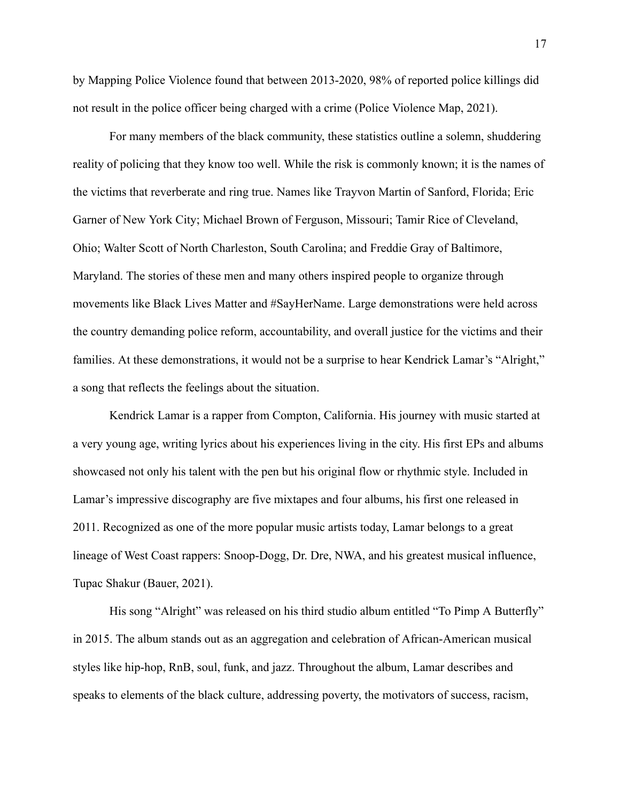by Mapping Police Violence found that between 2013-2020, 98% of reported police killings did not result in the police officer being charged with a crime (Police Violence Map, 2021).

For many members of the black community, these statistics outline a solemn, shuddering reality of policing that they know too well. While the risk is commonly known; it is the names of the victims that reverberate and ring true. Names like Trayvon Martin of Sanford, Florida; Eric Garner of New York City; Michael Brown of Ferguson, Missouri; Tamir Rice of Cleveland, Ohio; Walter Scott of North Charleston, South Carolina; and Freddie Gray of Baltimore, Maryland. The stories of these men and many others inspired people to organize through movements like Black Lives Matter and #SayHerName. Large demonstrations were held across the country demanding police reform, accountability, and overall justice for the victims and their families. At these demonstrations, it would not be a surprise to hear Kendrick Lamar's "Alright," a song that reflects the feelings about the situation.

Kendrick Lamar is a rapper from Compton, California. His journey with music started at a very young age, writing lyrics about his experiences living in the city. His first EPs and albums showcased not only his talent with the pen but his original flow or rhythmic style. Included in Lamar's impressive discography are five mixtapes and four albums, his first one released in 2011. Recognized as one of the more popular music artists today, Lamar belongs to a great lineage of West Coast rappers: Snoop-Dogg, Dr. Dre, NWA, and his greatest musical influence, Tupac Shakur (Bauer, 2021).

His song "Alright" was released on his third studio album entitled "To Pimp A Butterfly" in 2015. The album stands out as an aggregation and celebration of African-American musical styles like hip-hop, RnB, soul, funk, and jazz. Throughout the album, Lamar describes and speaks to elements of the black culture, addressing poverty, the motivators of success, racism,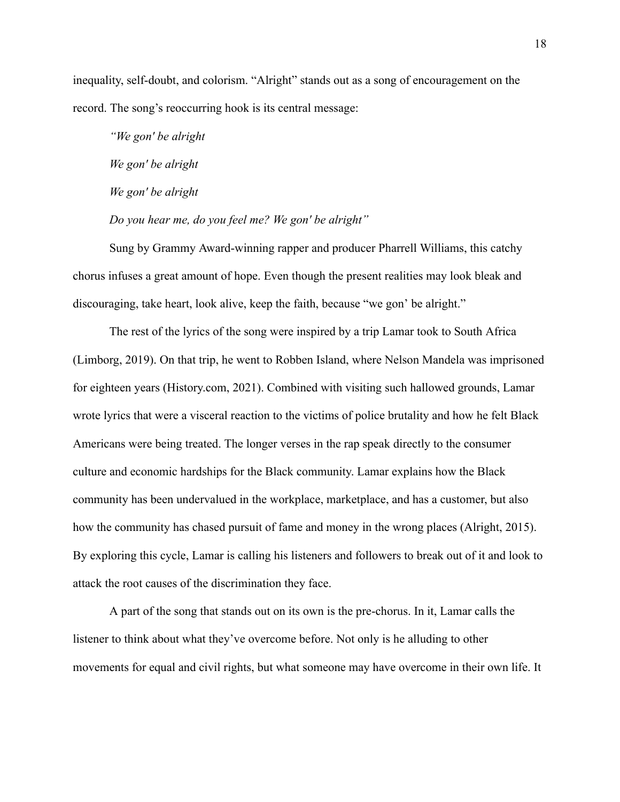inequality, self-doubt, and colorism. "Alright" stands out as a song of encouragement on the record. The song's reoccurring hook is its central message:

*"We gon' be alright We gon' be alright We gon' be alright*

*Do you hear me, do you feel me? We gon' be alright"*

Sung by Grammy Award-winning rapper and producer Pharrell Williams, this catchy chorus infuses a great amount of hope. Even though the present realities may look bleak and discouraging, take heart, look alive, keep the faith, because "we gon' be alright."

The rest of the lyrics of the song were inspired by a trip Lamar took to South Africa (Limborg, 2019). On that trip, he went to Robben Island, where Nelson Mandela was imprisoned for eighteen years (History.com, 2021). Combined with visiting such hallowed grounds, Lamar wrote lyrics that were a visceral reaction to the victims of police brutality and how he felt Black Americans were being treated. The longer verses in the rap speak directly to the consumer culture and economic hardships for the Black community. Lamar explains how the Black community has been undervalued in the workplace, marketplace, and has a customer, but also how the community has chased pursuit of fame and money in the wrong places (Alright, 2015). By exploring this cycle, Lamar is calling his listeners and followers to break out of it and look to attack the root causes of the discrimination they face.

A part of the song that stands out on its own is the pre-chorus. In it, Lamar calls the listener to think about what they've overcome before. Not only is he alluding to other movements for equal and civil rights, but what someone may have overcome in their own life. It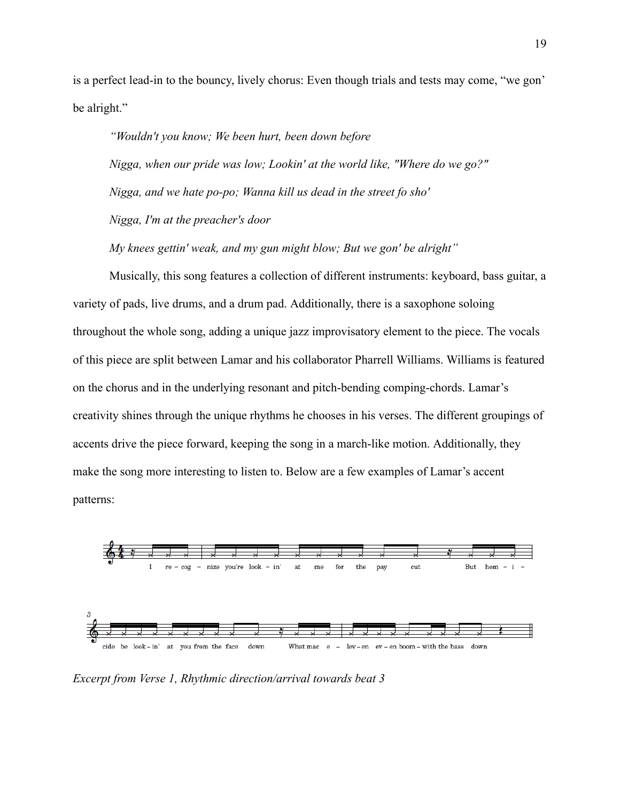is a perfect lead-in to the bouncy, lively chorus: Even though trials and tests may come, "we gon' be alright."

*"Wouldn't you know; We been hurt, been down before Nigga, when our pride was low; Lookin' at the world like, "Where do we go?" Nigga, and we hate po-po; Wanna kill us dead in the street fo sho' Nigga, I'm at the preacher's door*

*My knees gettin' weak, and my gun might blow; But we gon' be alright"*

Musically, this song features a collection of different instruments: keyboard, bass guitar, a variety of pads, live drums, and a drum pad. Additionally, there is a saxophone soloing throughout the whole song, adding a unique jazz improvisatory element to the piece. The vocals of this piece are split between Lamar and his collaborator Pharrell Williams. Williams is featured on the chorus and in the underlying resonant and pitch-bending comping-chords. Lamar's creativity shines through the unique rhythms he chooses in his verses. The different groupings of accents drive the piece forward, keeping the song in a march-like motion. Additionally, they make the song more interesting to listen to. Below are a few examples of Lamar's accent patterns:



*Excerpt from Verse 1, Rhythmic direction/arrival towards beat 3*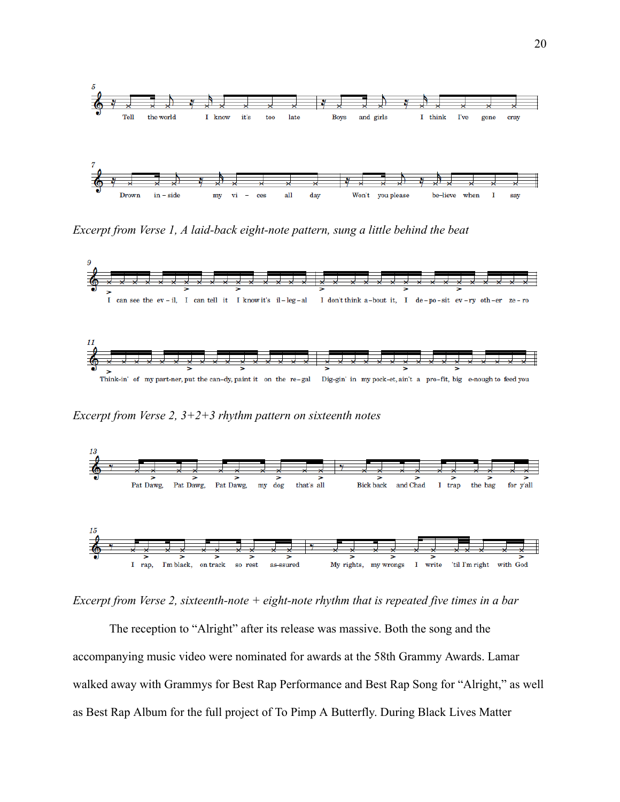

*Excerpt from Verse 1, A laid-back eight-note pattern, sung a little behind the beat*



*Excerpt from Verse 2, 3+2+3 rhythm pattern on sixteenth notes*



*Excerpt from Verse 2, sixteenth-note + eight-note rhythm that is repeated five times in a bar*

The reception to "Alright" after its release was massive. Both the song and the accompanying music video were nominated for awards at the 58th Grammy Awards. Lamar walked away with Grammys for Best Rap Performance and Best Rap Song for "Alright," as well as Best Rap Album for the full project of To Pimp A Butterfly. During Black Lives Matter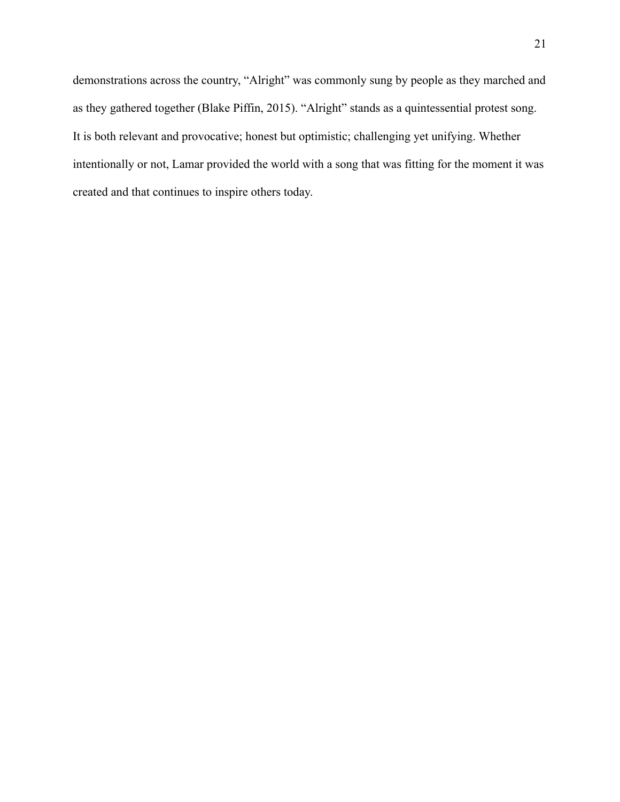demonstrations across the country, "Alright" was commonly sung by people as they marched and as they gathered together (Blake Piffin, 2015). "Alright" stands as a quintessential protest song. It is both relevant and provocative; honest but optimistic; challenging yet unifying. Whether intentionally or not, Lamar provided the world with a song that was fitting for the moment it was created and that continues to inspire others today.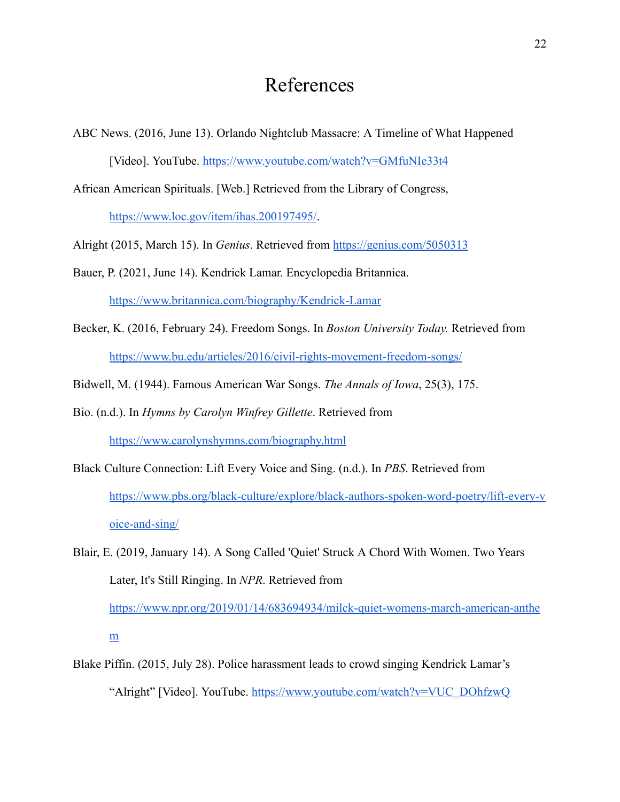# References

ABC News. (2016, June 13). Orlando Nightclub Massacre: A Timeline of What Happened

[Video]. YouTube. <https://www.youtube.com/watch?v=GMfuNIe33t4>

African American Spirituals. [Web.] Retrieved from the Library of Congress,

[https://www.loc.gov/item/ihas.200197495/.](https://www.loc.gov/item/ihas.200197495/)

Alright (2015, March 15). In *Genius*. Retrieved from <https://genius.com/5050313>

Bauer, P. (2021, June 14). Kendrick Lamar. Encyclopedia Britannica.

<https://www.britannica.com/biography/Kendrick-Lamar>

- Becker, K. (2016, February 24). Freedom Songs. In *Boston University Today.* Retrieved from <https://www.bu.edu/articles/2016/civil-rights-movement-freedom-songs/>
- Bidwell, M. (1944). Famous American War Songs. *The Annals of Iowa*, 25(3), 175.
- Bio. (n.d.). In *Hymns by Carolyn Winfrey Gillette*. Retrieved from <https://www.carolynshymns.com/biography.html>
- Black Culture Connection: Lift Every Voice and Sing. (n.d.). In *PBS*. Retrieved from [https://www.pbs.org/black-culture/explore/black-authors-spoken-word-poetry/lift-every-v](https://www.pbs.org/black-culture/explore/black-authors-spoken-word-poetry/lift-every-voice-and-sing/) [oice-and-sing/](https://www.pbs.org/black-culture/explore/black-authors-spoken-word-poetry/lift-every-voice-and-sing/)
- Blair, E. (2019, January 14). A Song Called 'Quiet' Struck A Chord With Women. Two Years Later, It's Still Ringing. In *NPR*. Retrieved from [https://www.npr.org/2019/01/14/683694934/milck-quiet-womens-march-american-anthe](https://www.npr.org/2019/01/14/683694934/milck-quiet-womens-march-american-anthem)

[m](https://www.npr.org/2019/01/14/683694934/milck-quiet-womens-march-american-anthem)

Blake Piffin. (2015, July 28). Police harassment leads to crowd singing Kendrick Lamar's "Alright" [Video]. YouTube. [https://www.youtube.com/watch?v=VUC\\_DOhfzwQ](https://www.youtube.com/watch?v=VUC_DOhfzwQ)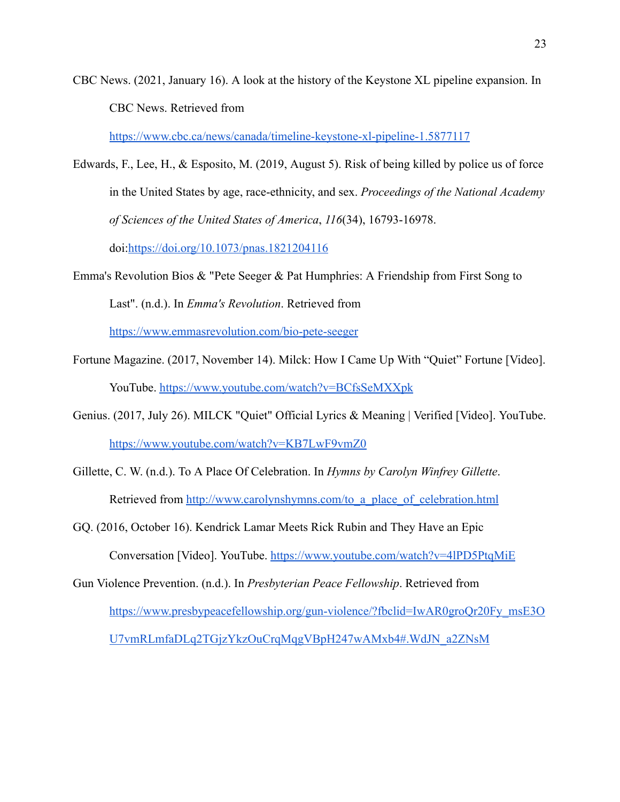CBC News. (2021, January 16). A look at the history of the Keystone XL pipeline expansion. In CBC News. Retrieved from

<https://www.cbc.ca/news/canada/timeline-keystone-xl-pipeline-1.5877117>

Edwards, F., Lee, H., & Esposito, M. (2019, August 5). Risk of being killed by police us of force in the United States by age, race-ethnicity, and sex. *Proceedings of the National Academy of Sciences of the United States of America*, *116*(34), 16793-16978.

doi:<https://doi.org/10.1073/pnas.1821204116>

Emma's Revolution Bios & "Pete Seeger & Pat Humphries: A Friendship from First Song to Last". (n.d.). In *Emma's Revolution*. Retrieved from

<https://www.emmasrevolution.com/bio-pete-seeger>

- Fortune Magazine. (2017, November 14). Milck: How I Came Up With "Quiet" Fortune [Video]. YouTube. <https://www.youtube.com/watch?v=BCfsSeMXXpk>
- Genius. (2017, July 26). MILCK "Quiet" Official Lyrics & Meaning | Verified [Video]. YouTube. <https://www.youtube.com/watch?v=KB7LwF9vmZ0>
- Gillette, C. W. (n.d.). To A Place Of Celebration. In *Hymns by Carolyn Winfrey Gillette*. Retrieved from [http://www.carolynshymns.com/to\\_a\\_place\\_of\\_celebration.html](http://www.carolynshymns.com/to_a_place_of_celebration.html)
- GQ. (2016, October 16). Kendrick Lamar Meets Rick Rubin and They Have an Epic Conversation [Video]. YouTube. <https://www.youtube.com/watch?v=4lPD5PtqMiE>
- Gun Violence Prevention. (n.d.). In *Presbyterian Peace Fellowship*. Retrieved from [https://www.presbypeacefellowship.org/gun-violence/?fbclid=IwAR0groQr20Fy\\_msE3O](https://www.presbypeacefellowship.org/gun-violence/?fbclid=IwAR0groQr20Fy_msE3OU7vmRLmfaDLq2TGjzYkzOuCrqMqgVBpH247wAMxb4#.WdJN_a2ZNsM) [U7vmRLmfaDLq2TGjzYkzOuCrqMqgVBpH247wAMxb4#.WdJN\\_a2ZNsM](https://www.presbypeacefellowship.org/gun-violence/?fbclid=IwAR0groQr20Fy_msE3OU7vmRLmfaDLq2TGjzYkzOuCrqMqgVBpH247wAMxb4#.WdJN_a2ZNsM)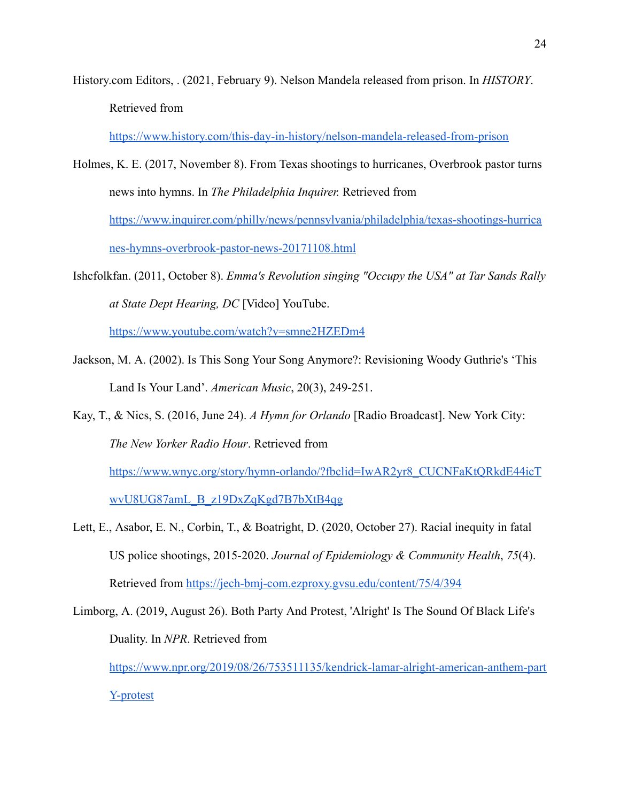History.com Editors, . (2021, February 9). Nelson Mandela released from prison. In *HISTORY*. Retrieved from

<https://www.history.com/this-day-in-history/nelson-mandela-released-from-prison>

- Holmes, K. E. (2017, November 8). From Texas shootings to hurricanes, Overbrook pastor turns news into hymns. In *The Philadelphia Inquirer.* Retrieved from [https://www.inquirer.com/philly/news/pennsylvania/philadelphia/texas-shootings-hurrica](https://www.inquirer.com/philly/news/pennsylvania/philadelphia/texas-shootings-hurricanes-hymns-overbrook-pastor-news-20171108.html) [nes-hymns-overbrook-pastor-news-20171108.html](https://www.inquirer.com/philly/news/pennsylvania/philadelphia/texas-shootings-hurricanes-hymns-overbrook-pastor-news-20171108.html)
- Ishcfolkfan. (2011, October 8). *Emma's Revolution singing "Occupy the USA" at Tar Sands Rally at State Dept Hearing, DC* [Video] YouTube.

<https://www.youtube.com/watch?v=smne2HZEDm4>

Jackson, M. A. (2002). Is This Song Your Song Anymore?: Revisioning Woody Guthrie's 'This Land Is Your Land'. *American Music*, 20(3), 249-251.

Kay, T., & Nics, S. (2016, June 24). *A Hymn for Orlando* [Radio Broadcast]. New York City: *The New Yorker Radio Hour*. Retrieved from [https://www.wnyc.org/story/hymn-orlando/?fbclid=IwAR2yr8\\_CUCNFaKtQRkdE44icT](https://www.wnyc.org/story/hymn-orlando/?fbclid=IwAR2yr8_CUCNFaKtQRkdE44icTwvU8UG87amL_B_z19DxZqKgd7B7bXtB4qg) [wvU8UG87amL\\_B\\_z19DxZqKgd7B7bXtB4qg](https://www.wnyc.org/story/hymn-orlando/?fbclid=IwAR2yr8_CUCNFaKtQRkdE44icTwvU8UG87amL_B_z19DxZqKgd7B7bXtB4qg)

Lett, E., Asabor, E. N., Corbin, T., & Boatright, D. (2020, October 27). Racial inequity in fatal US police shootings, 2015-2020. *Journal of Epidemiology & Community Health*, *75*(4). Retrieved from <https://jech-bmj-com.ezproxy.gvsu.edu/content/75/4/394>

Limborg, A. (2019, August 26). Both Party And Protest, 'Alright' Is The Sound Of Black Life's Duality. In *NPR*. Retrieved from <https://www.npr.org/2019/08/26/753511135/kendrick-lamar-alright-american-anthem-part>

Y-protest